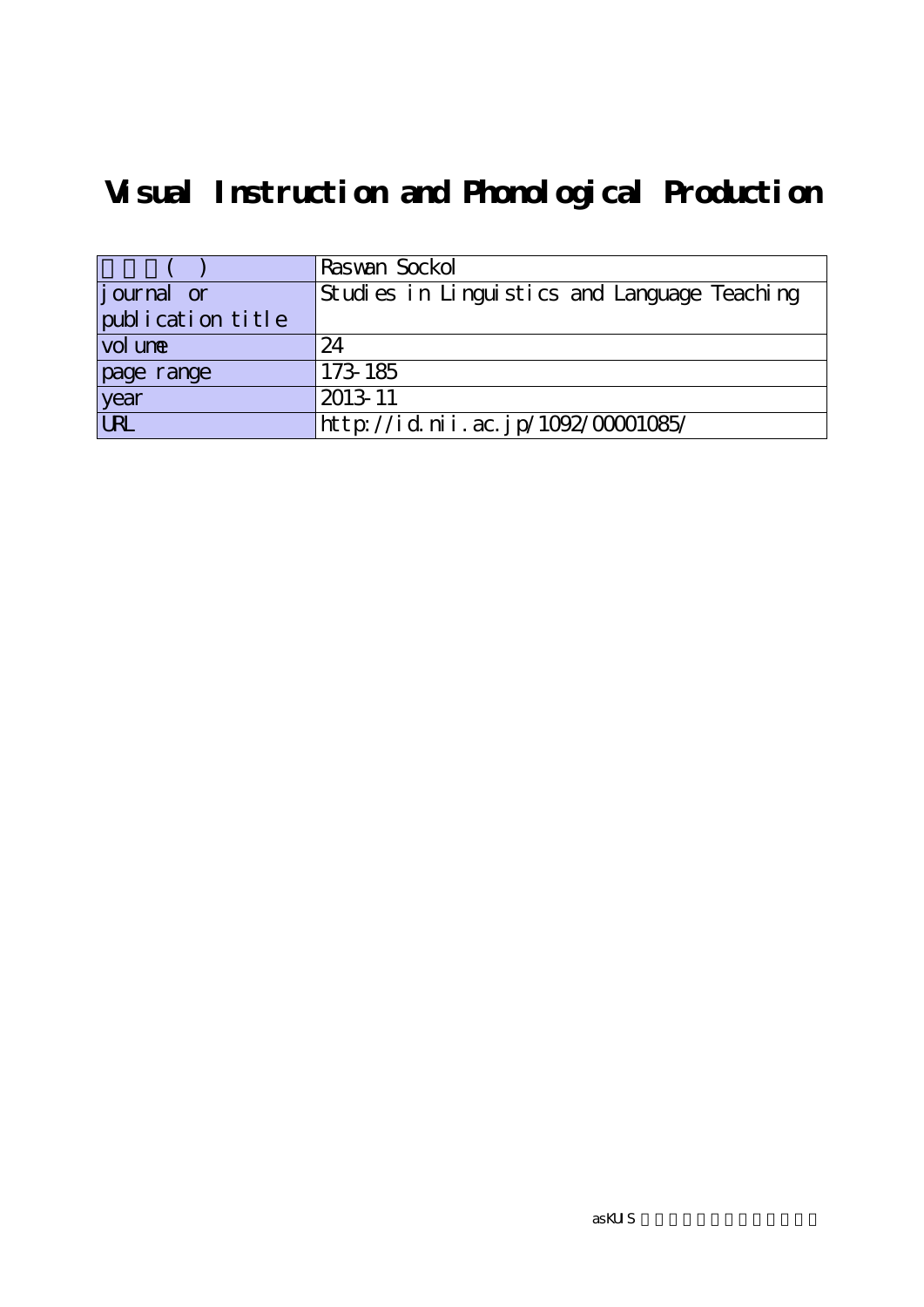# **Visual Instruction and Phonological Production**

|                    | Raswan Sockol                                |
|--------------------|----------------------------------------------|
| <i>j</i> ournal or | Studies in Linguistics and Language Teaching |
| publication title  |                                              |
| vol une            | 24                                           |
| page range         | 173-185                                      |
| year               | 2013-11                                      |
| <b>URL</b>         | http://id.nii.ac.jp/1092/00001085/           |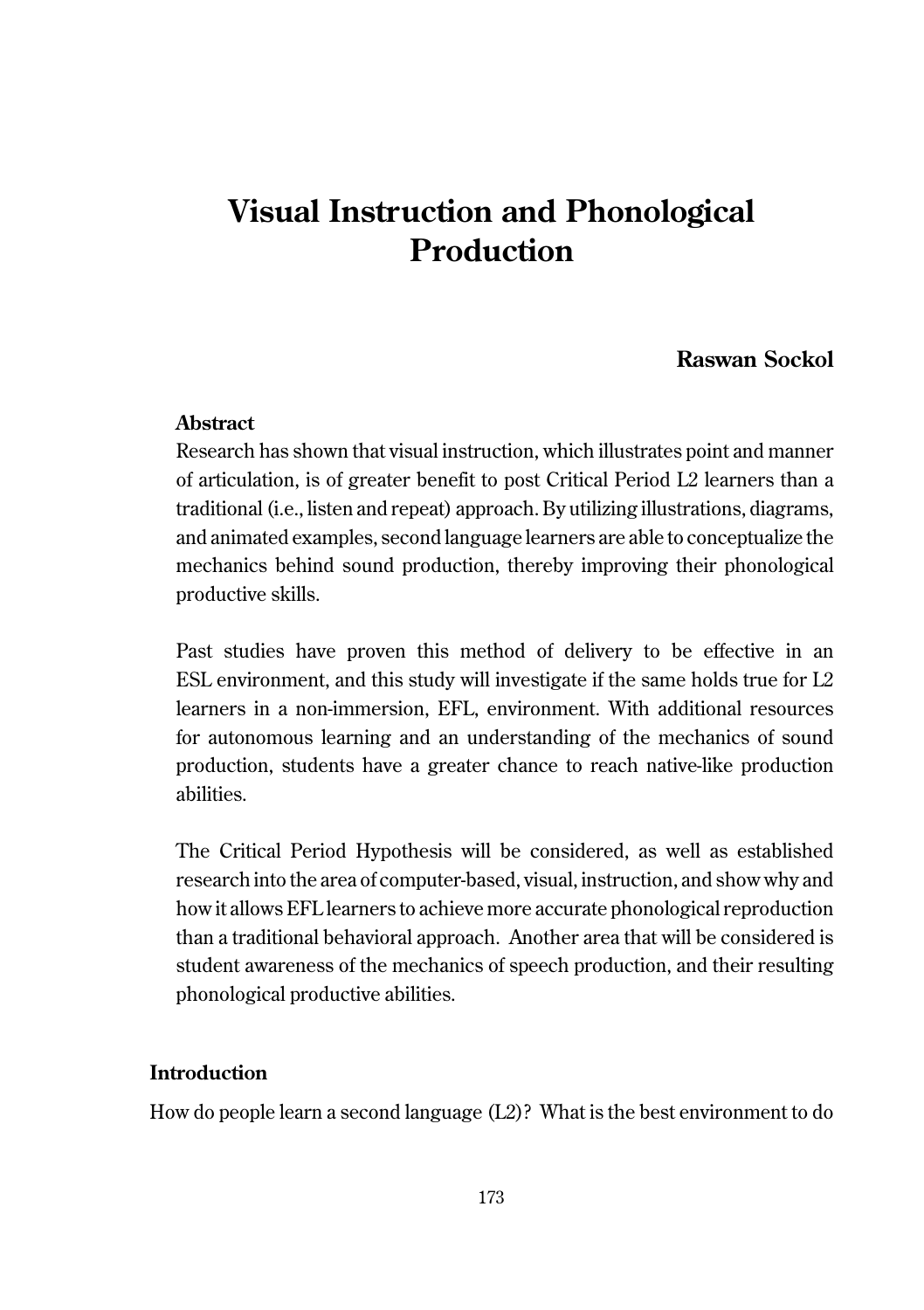# **Visual Instruction and Phonological Production**

# **Raswan Sockol**

#### **Abstract**

Research has shown that visual instruction, which illustrates point and manner of articulation, is of greater benefit to post Critical Period L2 learners than a traditional (i.e., listen and repeat) approach. By utilizing illustrations, diagrams, and animated examples, second language learners are able to conceptualize the mechanics behind sound production, thereby improving their phonological productive skills.

Past studies have proven this method of delivery to be effective in an ESL environment, and this study will investigate if the same holds true for L2 learners in a non-immersion, EFL, environment. With additional resources for autonomous learning and an understanding of the mechanics of sound production, students have a greater chance to reach native-like production abilities.

The Critical Period Hypothesis will be considered, as well as established research into the area of computer-based, visual, instruction, and show why and how it allows EFL learners to achieve more accurate phonological reproduction than a traditional behavioral approach. Another area that will be considered is student awareness of the mechanics of speech production, and their resulting phonological productive abilities.

### **Introduction**

How do people learn a second language (L2)? What is the best environment to do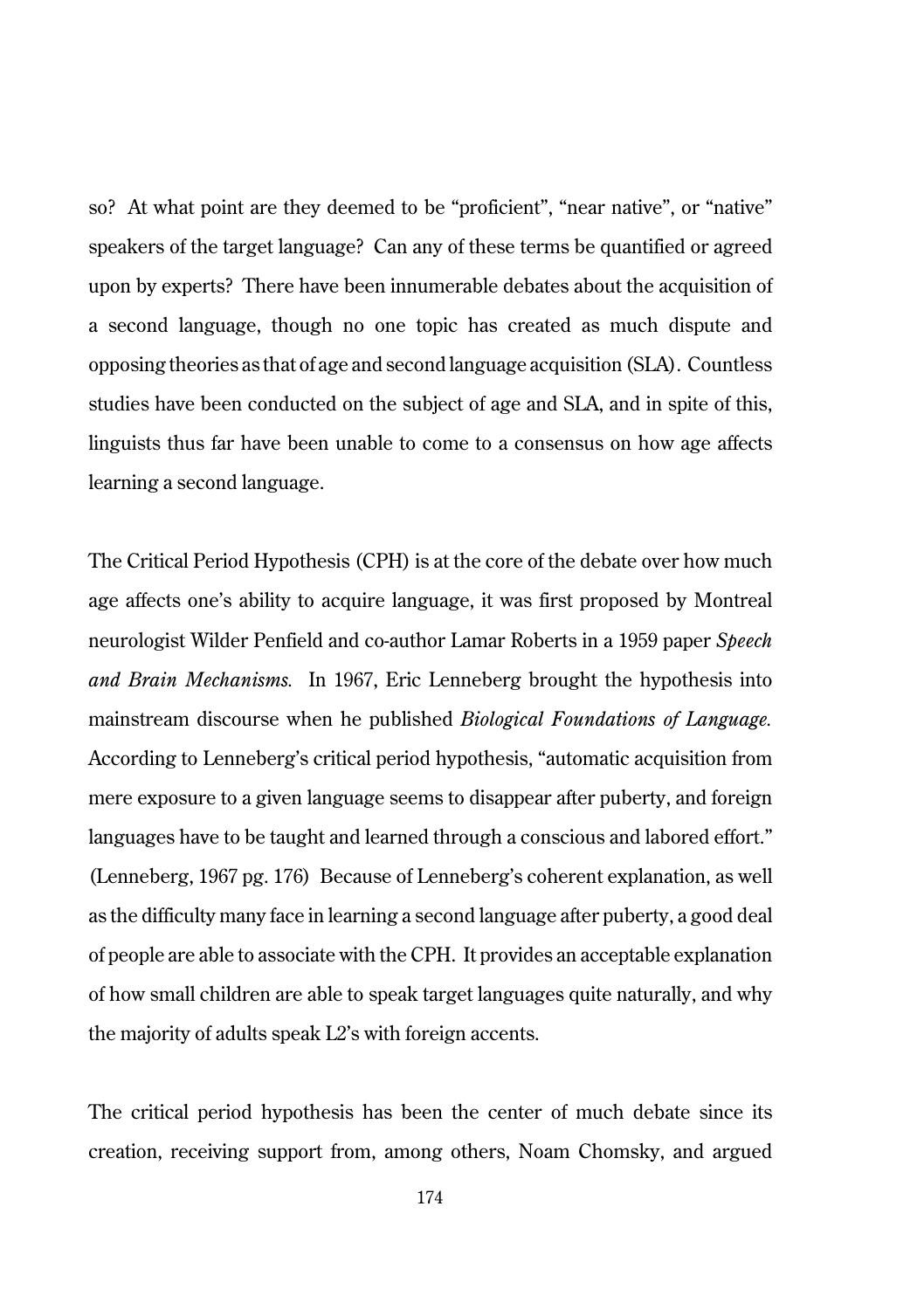so? At what point are they deemed to be "proficient", "near native", or "native" speakers of the target language? Can any of these terms be quantified or agreed upon by experts? There have been innumerable debates about the acquisition of a second language, though no one topic has created as much dispute and opposing theories as that of age and second language acquisition (SLA). Countless studies have been conducted on the subject of age and SLA, and in spite of this, linguists thus far have been unable to come to a consensus on how age affects learning a second language.

The Critical Period Hypothesis (CPH) is at the core of the debate over how much age affects one's ability to acquire language, it was first proposed by Montreal neurologist Wilder Penfield and co-author Lamar Roberts in a 1959 paper *Speech and Brain Mechanisms.* In 1967, Eric Lenneberg brought the hypothesis into mainstream discourse when he published *Biological Foundations of Language.* According to Lenneberg's critical period hypothesis, "automatic acquisition from mere exposure to a given language seems to disappear after puberty, and foreign languages have to be taught and learned through a conscious and labored effort." (Lenneberg, 1967 pg. 176) Because of Lenneberg's coherent explanation, as well as the difficulty many face in learning a second language after puberty, a good deal of people are able to associate with the CPH. It provides an acceptable explanation of how small children are able to speak target languages quite naturally, and why the majority of adults speak L2's with foreign accents.

The critical period hypothesis has been the center of much debate since its creation, receiving support from, among others, Noam Chomsky, and argued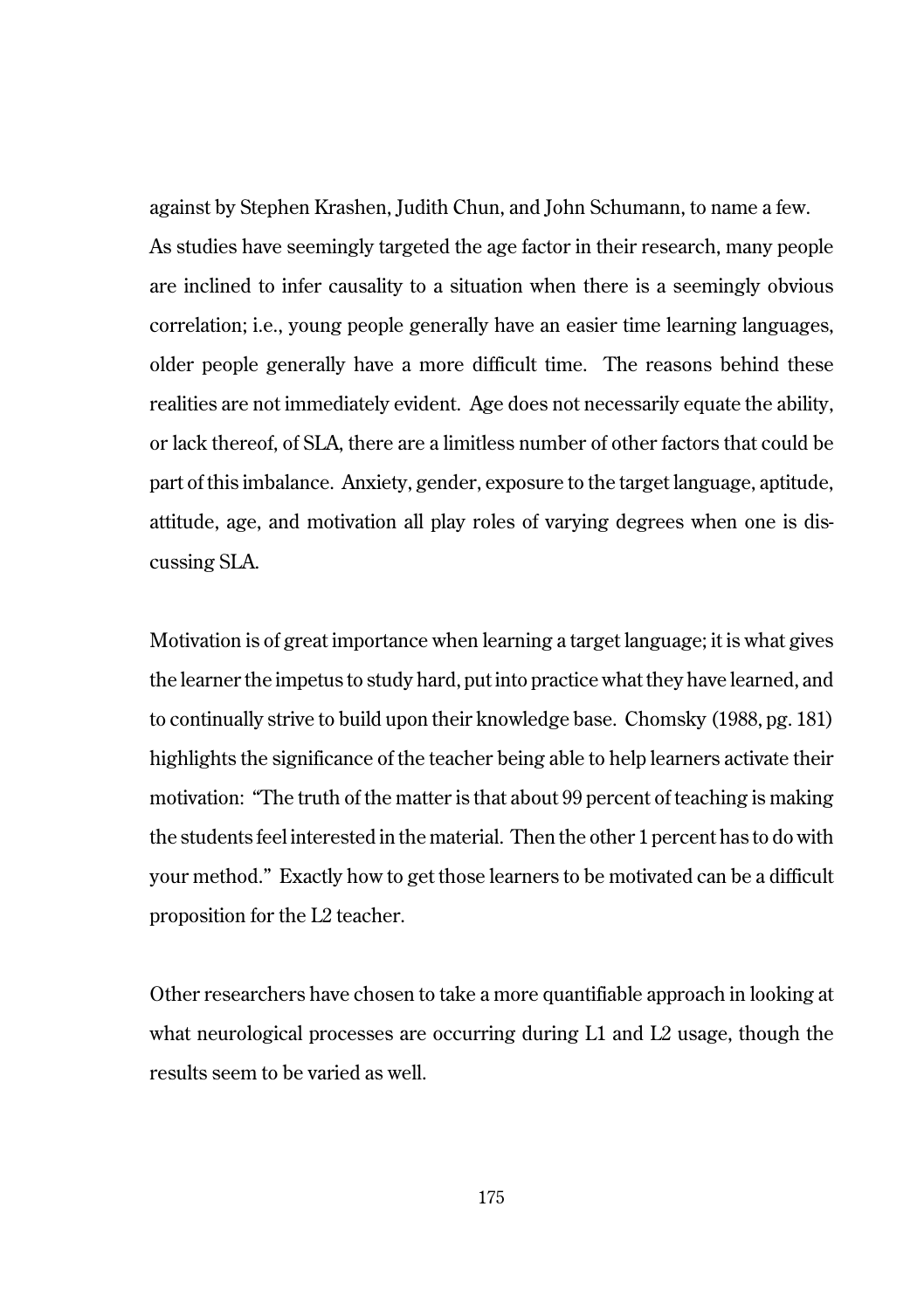against by Stephen Krashen, Judith Chun, and John Schumann, to name a few. As studies have seemingly targeted the age factor in their research, many people are inclined to infer causality to a situation when there is a seemingly obvious correlation; i.e., young people generally have an easier time learning languages, older people generally have a more difficult time. The reasons behind these realities are not immediately evident. Age does not necessarily equate the ability, or lack thereof, of SLA, there are a limitless number of other factors that could be part of this imbalance. Anxiety, gender, exposure to the target language, aptitude, attitude, age, and motivation all play roles of varying degrees when one is discussing SLA.

Motivation is of great importance when learning a target language; it is what gives the learner the impetus to study hard, put into practice what they have learned, and to continually strive to build upon their knowledge base. Chomsky (1988, pg. 181) highlights the significance of the teacher being able to help learners activate their motivation: "The truth of the matter is that about 99 percent of teaching is making the students feel interested in the material. Then the other 1 percent has to do with your method." Exactly how to get those learners to be motivated can be a difficult proposition for the L2 teacher.

Other researchers have chosen to take a more quantifiable approach in looking at what neurological processes are occurring during L1 and L2 usage, though the results seem to be varied as well.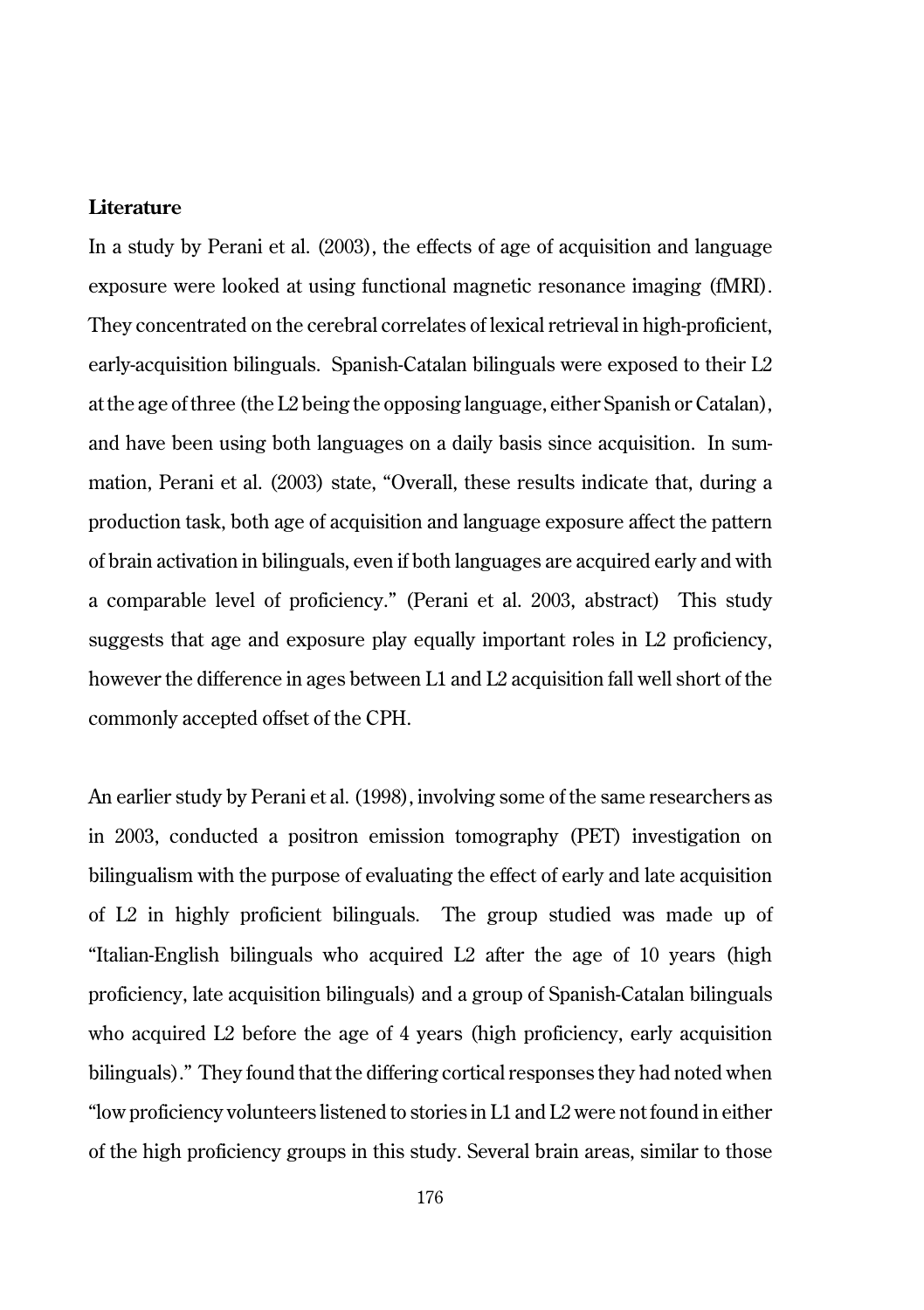#### **Literature**

In a study by Perani et al. (2003), the effects of age of acquisition and language exposure were looked at using functional magnetic resonance imaging (fMRI). They concentrated on the cerebral correlates of lexical retrieval in high-proficient, early-acquisition bilinguals. Spanish-Catalan bilinguals were exposed to their  $L2$ at the age of three (the L2 being the opposing language, either Spanish or Catalan), and have been using both languages on a daily basis since acquisition. In summation, Perani et al. (2003) state, "Overall, these results indicate that, during a production task, both age of acquisition and language exposure affect the pattern of brain activation in bilinguals, even if both languages are acquired early and with a comparable level of proficiency." (Perani et al. 2003, abstract) This study suggests that age and exposure play equally important roles in L2 proficiency, however the difference in ages between L1 and L2 acquisition fall well short of the commonly accepted offset of the CPH.

An earlier study by Perani et al. (1998), involving some of the same researchers as in 2003, conducted a positron emission tomography (PET) investigation on bilingualism with the purpose of evaluating the effect of early and late acquisition of L2 in highly proficient bilinguals. The group studied was made up of "Italian-English bilinguals who acquired L2 after the age of 10 years (high proficiency, late acquisition bilinguals) and a group of Spanish-Catalan bilinguals who acquired L2 before the age of 4 years (high proficiency, early acquisition bilinguals)." They found that the differing cortical responses they had noted when "low proficiency volunteers listened to stories in L1 and L2 were not found in either of the high proficiency groups in this study. Several brain areas, similar to those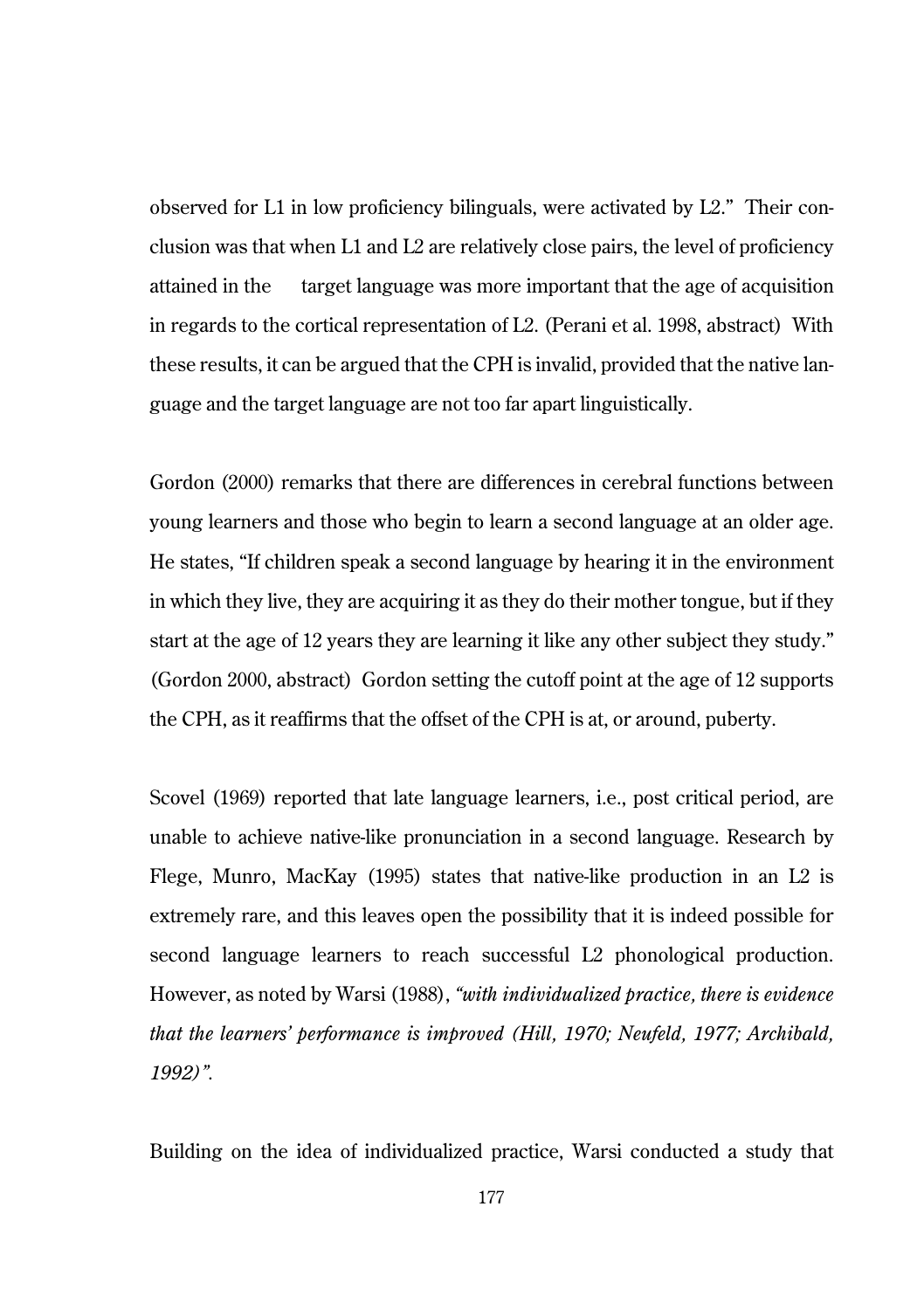observed for L1 in low proficiency bilinguals, were activated by L2." Their conclusion was that when L1 and L2 are relatively close pairs, the level of proficiency attained in the target language was more important that the age of acquisition in regards to the cortical representation of L2. (Perani et al. 1998, abstract) With these results, it can be argued that the CPH is invalid, provided that the native language and the target language are not too far apart linguistically.

Gordon (2000) remarks that there are differences in cerebral functions between young learners and those who begin to learn a second language at an older age. He states, "If children speak a second language by hearing it in the environment in which they live, they are acquiring it as they do their mother tongue, but if they start at the age of 12 years they are learning it like any other subject they study." (Gordon 2000, abstract) Gordon setting the cutoff point at the age of 12 supports the CPH, as it reaffirms that the offset of the CPH is at, or around, puberty.

Scovel (1969) reported that late language learners, i.e., post critical period, are unable to achieve native-like pronunciation in a second language. Research by Flege, Munro, MacKay (1995) states that native-like production in an L2 is extremely rare, and this leaves open the possibility that it is indeed possible for second language learners to reach successful L2 phonological production. However, as noted by Warsi (1988), *"with individualized practice, there is evidence that the learners' performance is improved (Hill, 1970; Neufeld, 1977; Archibald, 1992)".*

Building on the idea of individualized practice, Warsi conducted a study that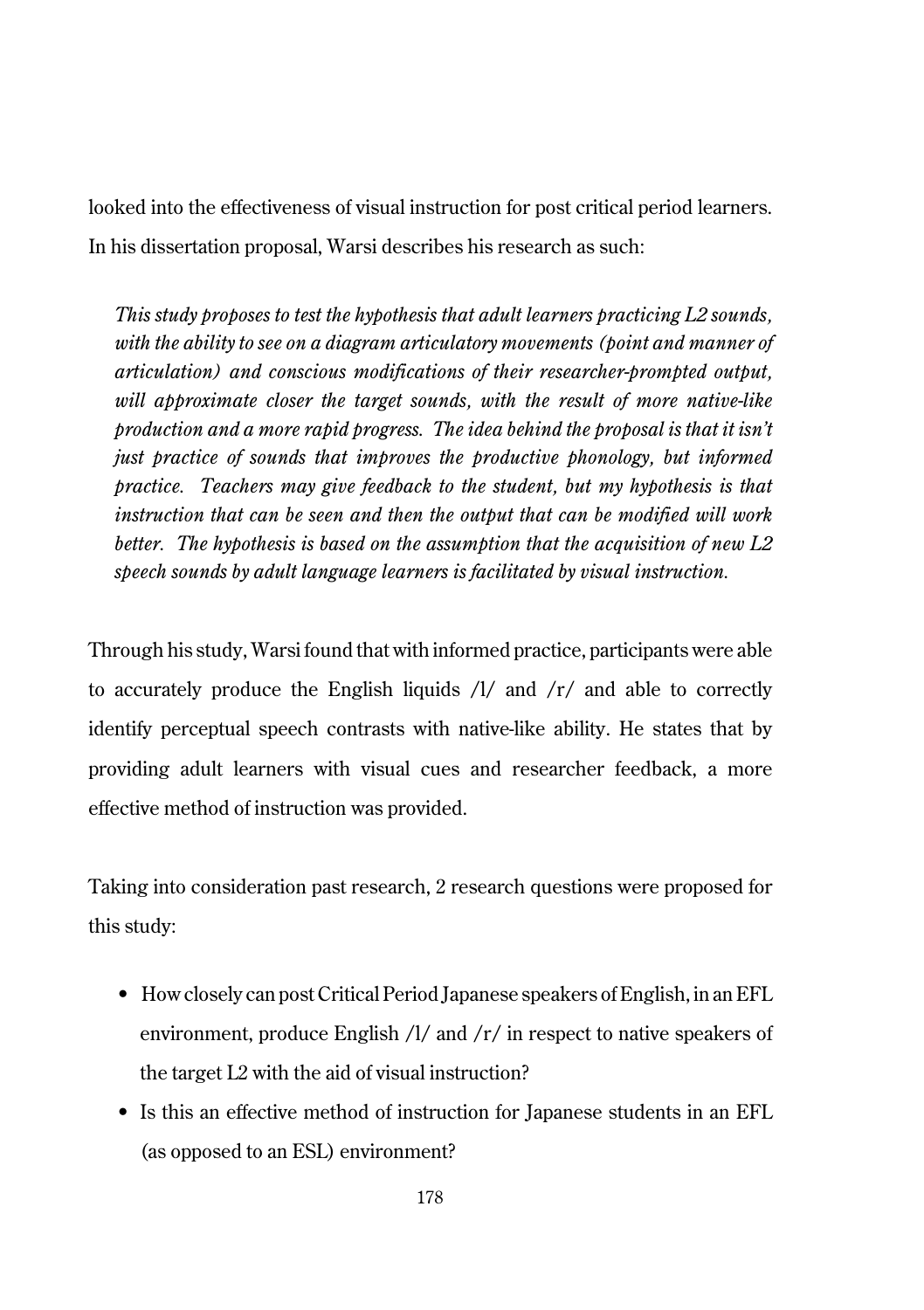looked into the effectiveness of visual instruction for post critical period learners. In his dissertation proposal, Warsi describes his research as such:

*This study proposes to test the hypothesis that adult learners practicing L2 sounds, with the ability to see on a diagram articulatory movements (point and manner of articulation) and conscious modifications of their researcher-prompted output, will approximate closer the target sounds, with the result of more native-like production and a more rapid progress. The idea behind the proposal is that it isn't just practice of sounds that improves the productive phonology, but informed practice. Teachers may give feedback to the student, but my hypothesis is that instruction that can be seen and then the output that can be modified will work better. The hypothesis is based on the assumption that the acquisition of new L2 speech sounds by adult language learners is facilitated by visual instruction.*

Through his study, Warsi found that with informed practice, participants were able to accurately produce the English liquids  $\lambda$  and  $\lambda$  and able to correctly identify perceptual speech contrasts with native-like ability. He states that by providing adult learners with visual cues and researcher feedback, a more effective method of instruction was provided.

Taking into consideration past research, 2 research questions were proposed for this study:

- How closely can post Critical Period Japanese speakers of English, in an EFL environment, produce English /l/ and /r/ in respect to native speakers of the target L2 with the aid of visual instruction?
- Is this an effective method of instruction for Japanese students in an EFL (as opposed to an ESL) environment?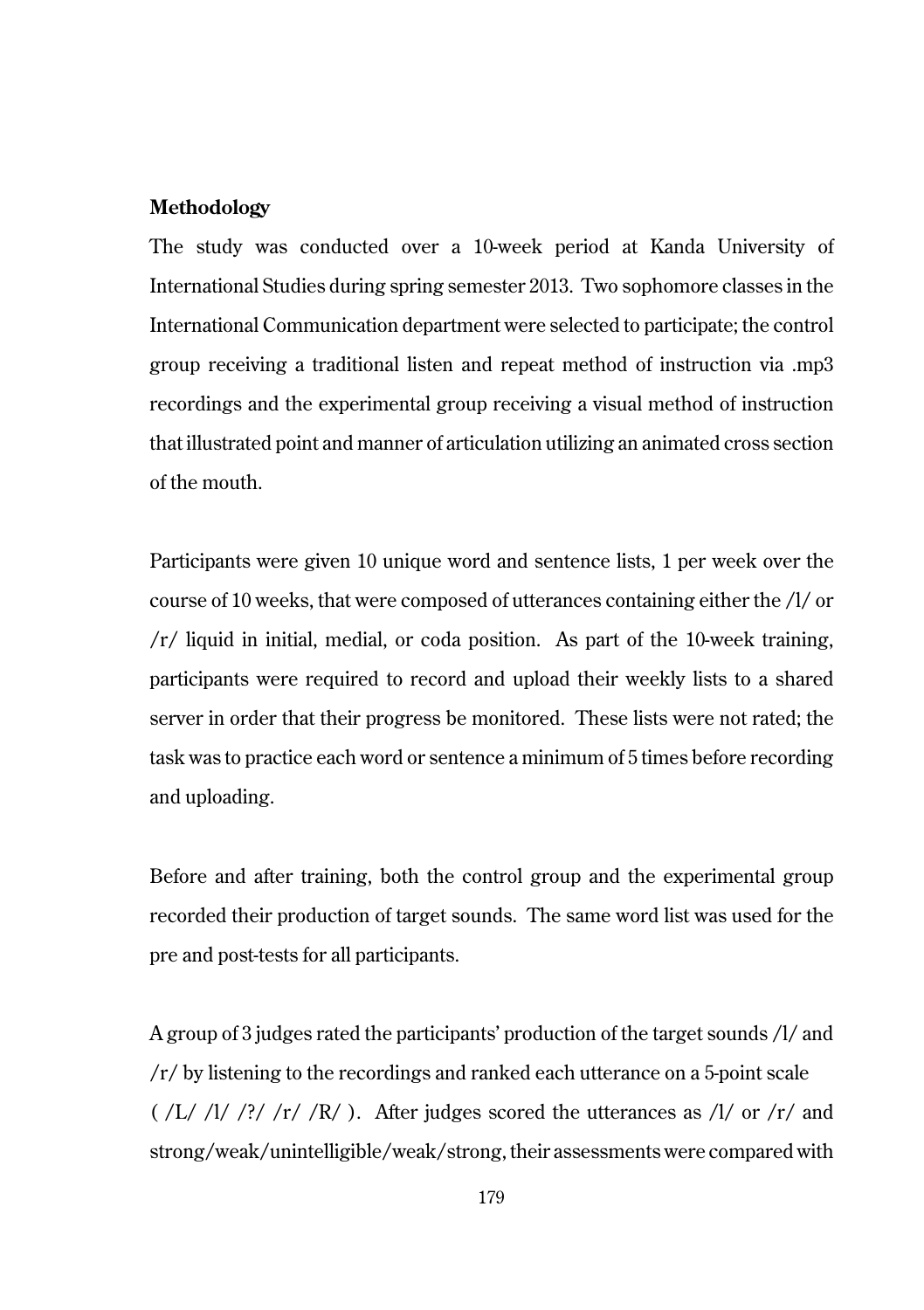#### **Methodology**

The study was conducted over a 10-week period at Kanda University of International Studies during spring semester 2013. Two sophomore classes in the International Communication department were selected to participate; the control group receiving a traditional listen and repeat method of instruction via .mp3 recordings and the experimental group receiving a visual method of instruction that illustrated point and manner of articulation utilizing an animated cross section of the mouth.

Participants were given 10 unique word and sentence lists, 1 per week over the course of 10 weeks, that were composed of utterances containing either the /l/ or /r/ liquid in initial, medial, or coda position. As part of the 10-week training, participants were required to record and upload their weekly lists to a shared server in order that their progress be monitored. These lists were not rated; the task was to practice each word or sentence a minimum of 5 times before recording and uploading.

Before and after training, both the control group and the experimental group recorded their production of target sounds. The same word list was used for the pre and post-tests for all participants.

A group of 3 judges rated the participants' production of the target sounds /l/ and /r/ by listening to the recordings and ranked each utterance on a 5-point scale  $(\frac{L}{l}/\frac{1}{2}$  /?/ /r/ /R/ ). After judges scored the utterances as  $\frac{1}{\alpha}$  or  $\frac{1}{\alpha}$  and strong/weak/unintelligible/weak/strong, their assessments were compared with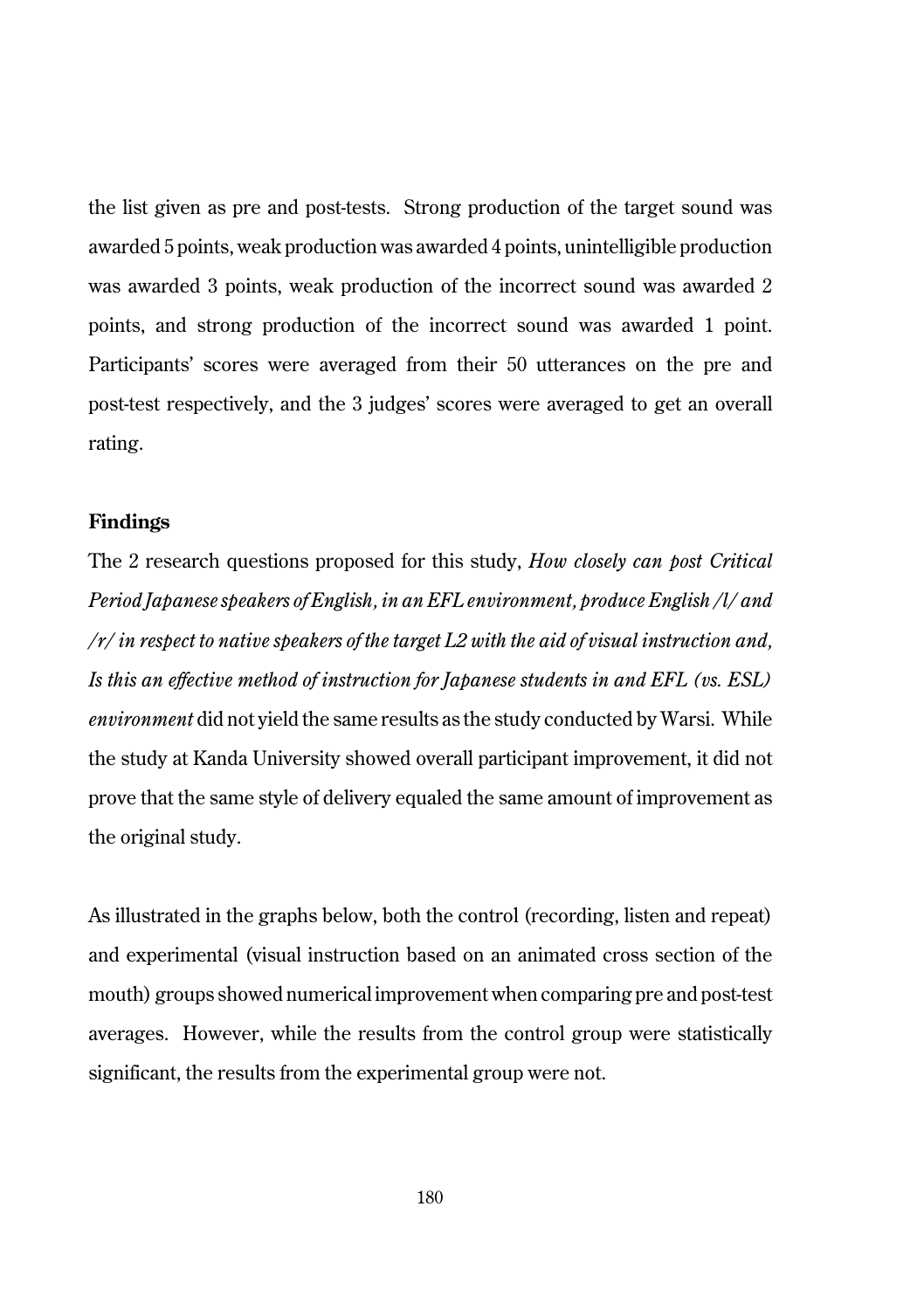the list given as pre and post-tests. Strong production of the target sound was awarded 5 points, weak production was awarded 4 points, unintelligible production was awarded 3 points, weak production of the incorrect sound was awarded 2 points, and strong production of the incorrect sound was awarded 1 point. Participants' scores were averaged from their 50 utterances on the pre and post-test respectively, and the 3 judges' scores were averaged to get an overall rating.

#### **Findings**

The 2 research questions proposed for this study, *How closely can post Critical Period Japanese speakers of English, in an EFL environment, produce English /l/ and /r/ in respect to native speakers of the target L2 with the aid of visual instruction and, Is this an effective method of instruction for Japanese students in and EFL (vs. ESL) environment* did not yield the same results as the study conducted by Warsi. While the study at Kanda University showed overall participant improvement, it did not prove that the same style of delivery equaled the same amount of improvement as the original study.

As illustrated in the graphs below, both the control (recording, listen and repeat) and experimental (visual instruction based on an animated cross section of the mouth) groups showed numerical improvement when comparing pre and post-test averages. However, while the results from the control group were statistically significant, the results from the experimental group were not.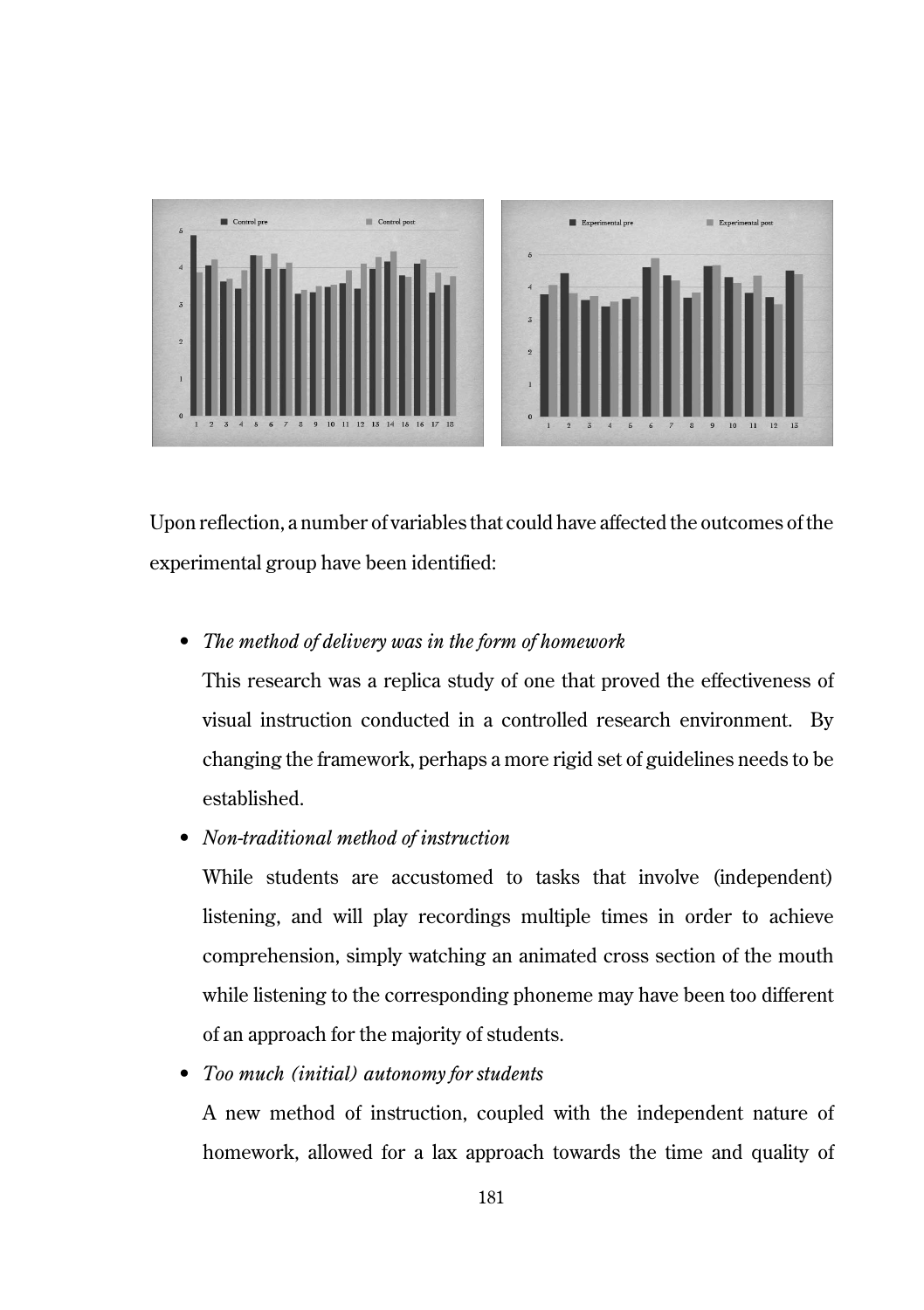

Upon reflection, a number of variables that could have affected the outcomes of the experimental group have been identified:

## • *The method of delivery was in the form of homework*

This research was a replica study of one that proved the effectiveness of visual instruction conducted in a controlled research environment. By changing the framework, perhaps a more rigid set of guidelines needs to be established.

• *Non-traditional method of instruction*

While students are accustomed to tasks that involve (independent) listening, and will play recordings multiple times in order to achieve comprehension, simply watching an animated cross section of the mouth while listening to the corresponding phoneme may have been too different of an approach for the majority of students.

• *Too much (initial) autonomy for students*

A new method of instruction, coupled with the independent nature of homework, allowed for a lax approach towards the time and quality of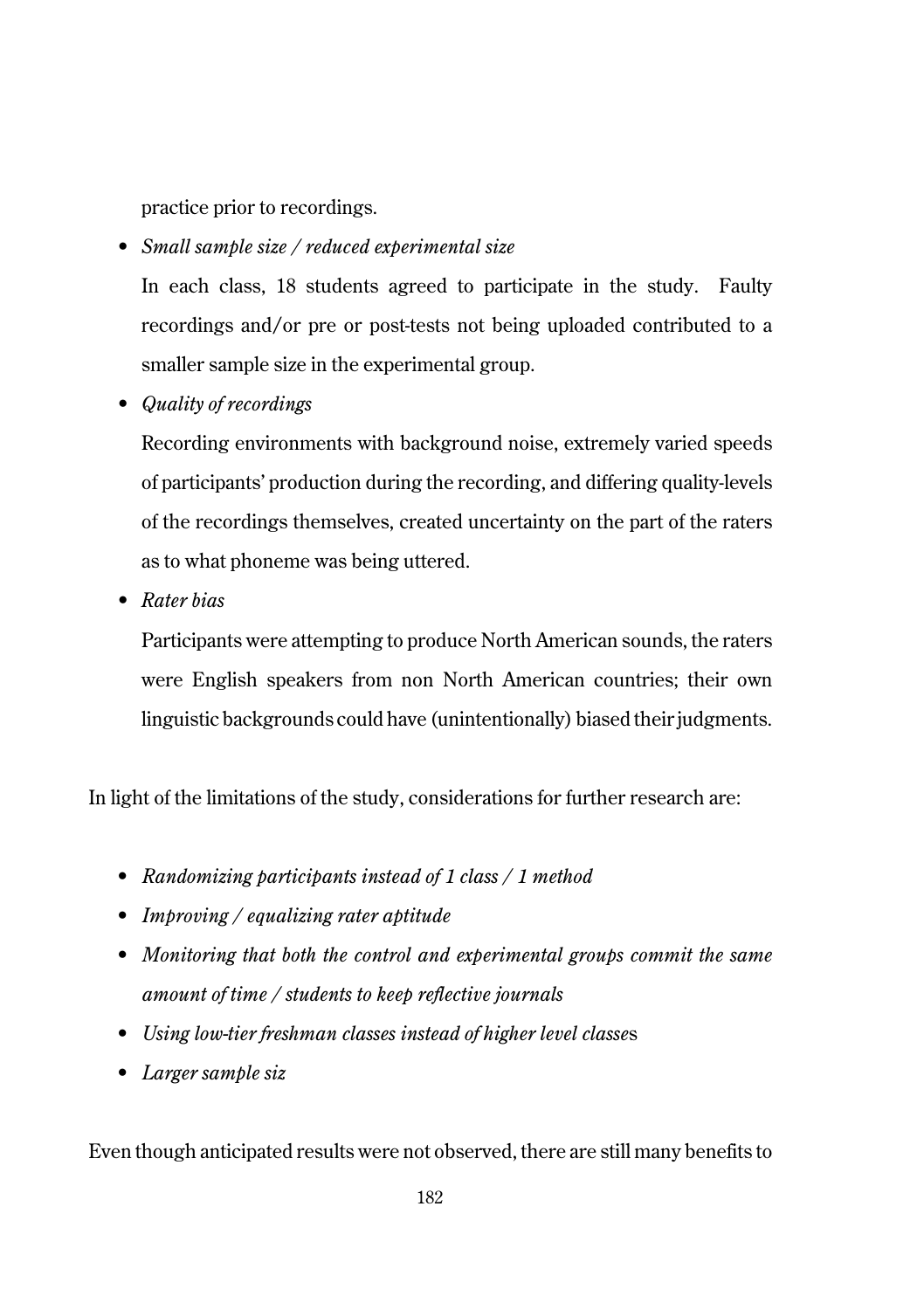practice prior to recordings.

• *Small sample size / reduced experimental size*

In each class, 18 students agreed to participate in the study. Faulty recordings and/or pre or post-tests not being uploaded contributed to a smaller sample size in the experimental group.

• *Quality of recordings* 

Recording environments with background noise, extremely varied speeds of participants' production during the recording, and differing quality-levels of the recordings themselves, created uncertainty on the part of the raters as to what phoneme was being uttered.

• *Rater bias*

Participants were attempting to produce North American sounds, the raters were English speakers from non North American countries; their own linguistic backgrounds could have (unintentionally) biased their judgments.

In light of the limitations of the study, considerations for further research are:

- *Randomizing participants instead of 1 class / 1 method*
- *Improving / equalizing rater aptitude*
- *Monitoring that both the control and experimental groups commit the same amount of time / students to keep reflective journals*
- *Using low-tier freshman classes instead of higher level classe*s
- *Larger sample siz*

Even though anticipated results were not observed, there are still many benefits to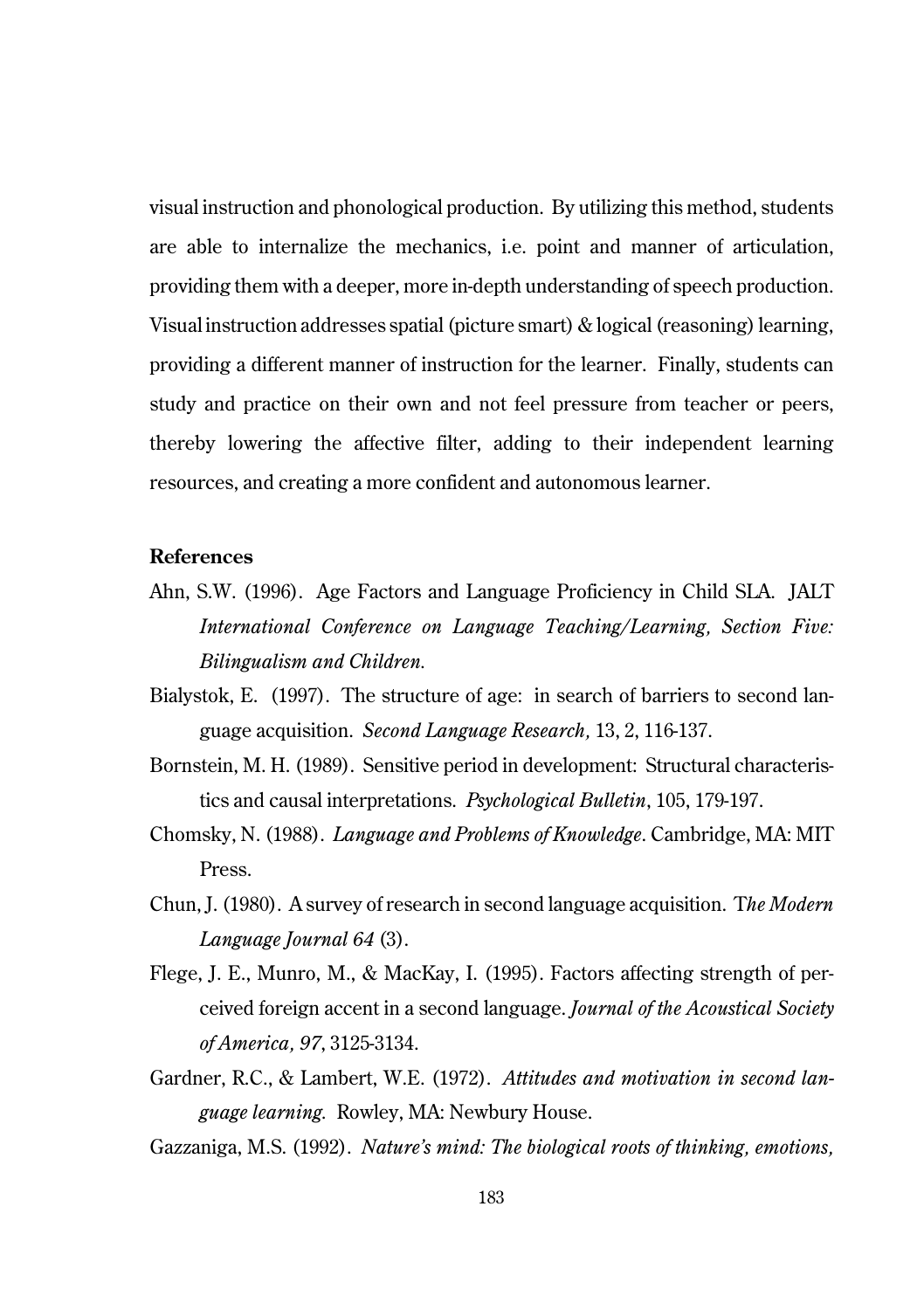visual instruction and phonological production. By utilizing this method, students are able to internalize the mechanics, i.e. point and manner of articulation, providing them with a deeper, more in-depth understanding of speech production. Visual instruction addresses spatial (picture smart) & logical (reasoning) learning, providing a different manner of instruction for the learner. Finally, students can study and practice on their own and not feel pressure from teacher or peers, thereby lowering the affective filter, adding to their independent learning resources, and creating a more confident and autonomous learner.

#### **References**

- Ahn, S.W. (1996). Age Factors and Language Proficiency in Child SLA. JALT *International Conference on Language Teaching/Learning, Section Five: Bilingualism and Children.*
- Bialystok, E. (1997). The structure of age: in search of barriers to second language acquisition. *Second Language Research,* 13, 2, 116-137.
- Bornstein, M. H. (1989). Sensitive period in development: Structural characteristics and causal interpretations. *Psychological Bulletin*, 105, 179-197.
- Chomsky, N. (1988). *Language and Problems of Knowledge*. Cambridge, MA: MIT Press.
- Chun, J. (1980). A survey of research in second language acquisition. T*he Modern Language Journal 64* (3).
- Flege, J. E., Munro, M., & MacKay, I. (1995). Factors affecting strength of perceived foreign accent in a second language. *Journal of the Acoustical Society of America, 97*, 3125-3134.
- Gardner, R.C., & Lambert, W.E. (1972). *Attitudes and motivation in second language learning.* Rowley, MA: Newbury House.

Gazzaniga, M.S. (1992). *Nature's mind: The biological roots of thinking, emotions,*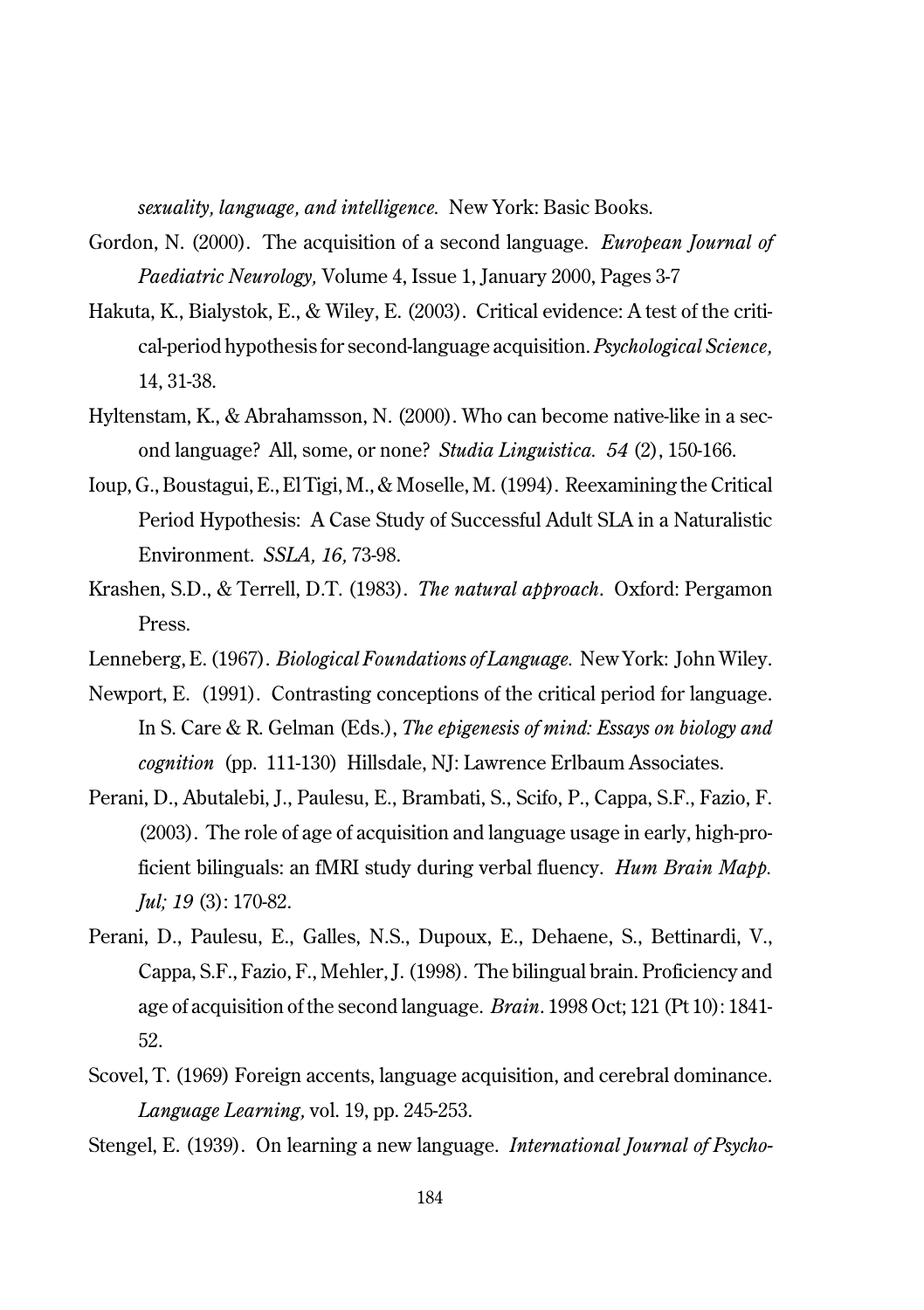*sexuality, language, and intelligence.* New York: Basic Books.

- Gordon, N. (2000). The acquisition of a second language. *European Journal of Paediatric Neurology,* Volume 4, Issue 1, January 2000, Pages 3-7
- Hakuta, K., Bialystok, E., & Wiley, E. (2003). Critical evidence: A test of the critical-period hypothesis for second-language acquisition. *Psychological Science,* 14, 31-38.
- Hyltenstam, K., & Abrahamsson, N. (2000). Who can become native-like in a second language? All, some, or none? *Studia Linguistica. 54* (2), 150-166.
- Ioup, G., Boustagui, E., El Tigi, M., & Moselle, M. (1994). Reexamining the Critical Period Hypothesis: A Case Study of Successful Adult SLA in a Naturalistic Environment. *SSLA, 16,* 73-98.
- Krashen, S.D., & Terrell, D.T. (1983). *The natural approach*. Oxford: Pergamon Press.
- Lenneberg, E. (1967). *Biological Foundations of Language.* New York: John Wiley.
- Newport, E. (1991). Contrasting conceptions of the critical period for language. In S. Care & R. Gelman (Eds.), *The epigenesis of mind: Essays on biology and cognition* (pp. 111-130) Hillsdale, NJ: Lawrence Erlbaum Associates.
- Perani, D., Abutalebi, J., Paulesu, E., Brambati, S., Scifo, P., Cappa, S.F., Fazio, F. (2003). The role of age of acquisition and language usage in early, high-proficient bilinguals: an fMRI study during verbal fluency. *Hum Brain Mapp. Jul; 19* (3): 170-82.
- Perani, D., Paulesu, E., Galles, N.S., Dupoux, E., Dehaene, S., Bettinardi, V., Cappa, S.F., Fazio, F., Mehler, J. (1998). The bilingual brain. Proficiency and age of acquisition of the second language. *Brain*. 1998 Oct; 121 (Pt 10): 1841- 52.
- Scovel, T. (1969) Foreign accents, language acquisition, and cerebral dominance. *Language Learning,* vol. 19, pp. 245-253.

Stengel, E. (1939). On learning a new language. *International Journal of Psycho-*